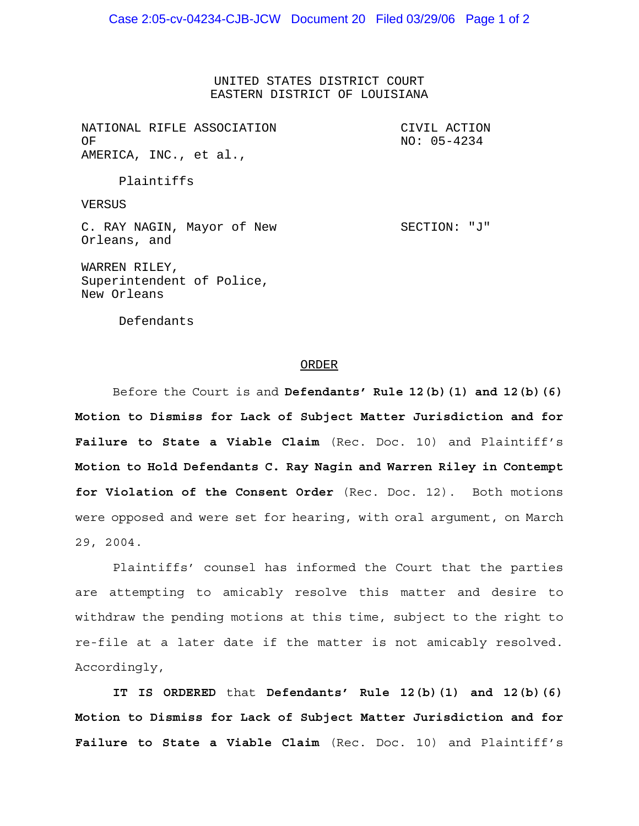UNITED STATES DISTRICT COURT EASTERN DISTRICT OF LOUISIANA

NATIONAL RIFLE ASSOCIATION OF AMERICA, INC., et al., CIVIL ACTION NO: 05-4234

Plaintiffs

VERSUS

C. RAY NAGIN, Mayor of New Orleans, and

SECTION: "J"

WARREN RILEY, Superintendent of Police, New Orleans

Defendants

## ORDER

Before the Court is and **Defendants' Rule 12(b)(1) and 12(b)(6) Motion to Dismiss for Lack of Subject Matter Jurisdiction and for Failure to State a Viable Claim** (Rec. Doc. 10) and Plaintiff's **Motion to Hold Defendants C. Ray Nagin and Warren Riley in Contempt for Violation of the Consent Order** (Rec. Doc. 12). Both motions were opposed and were set for hearing, with oral argument, on March 29, 2004.

Plaintiffs' counsel has informed the Court that the parties are attempting to amicably resolve this matter and desire to withdraw the pending motions at this time, subject to the right to re-file at a later date if the matter is not amicably resolved. Accordingly,

**IT IS ORDERED** that **Defendants' Rule 12(b)(1) and 12(b)(6) Motion to Dismiss for Lack of Subject Matter Jurisdiction and for Failure to State a Viable Claim** (Rec. Doc. 10) and Plaintiff's